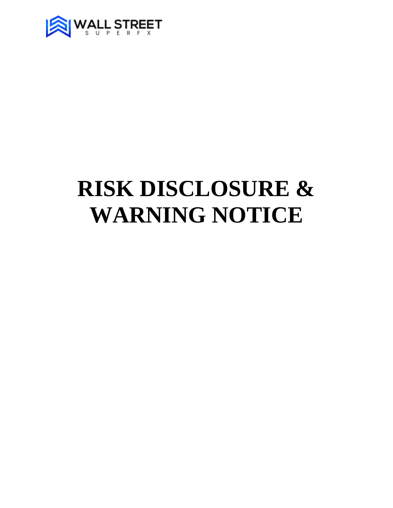

# **RISK DISCLOSURE & WARNING NOTICE**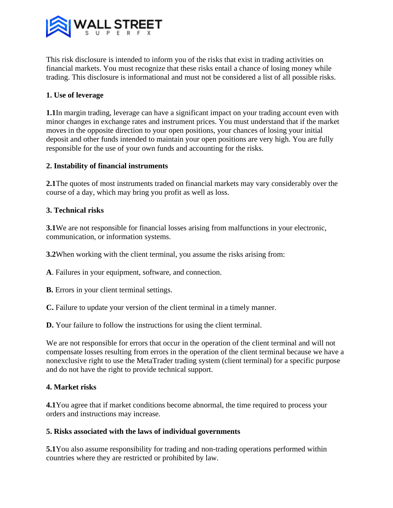

This risk disclosure is intended to inform you of the risks that exist in trading activities on financial markets. You must recognize that these risks entail a chance of losing money while trading. This disclosure is informational and must not be considered a list of all possible risks.

## **1. Use of leverage**

**1.1**In margin trading, leverage can have a significant impact on your trading account even with minor changes in exchange rates and instrument prices. You must understand that if the market moves in the opposite direction to your open positions, your chances of losing your initial deposit and other funds intended to maintain your open positions are very high. You are fully responsible for the use of your own funds and accounting for the risks.

## **2. Instability of financial instruments**

**2.1**The quotes of most instruments traded on financial markets may vary considerably over the course of a day, which may bring you profit as well as loss.

## **3. Technical risks**

**3.1**We are not responsible for financial losses arising from malfunctions in your electronic, communication, or information systems.

**3.2**When working with the client terminal, you assume the risks arising from:

**A**. Failures in your equipment, software, and connection.

**B.** Errors in your client terminal settings.

**C.** Failure to update your version of the client terminal in a timely manner.

**D.** Your failure to follow the instructions for using the client terminal.

We are not responsible for errors that occur in the operation of the client terminal and will not compensate losses resulting from errors in the operation of the client terminal because we have a nonexclusive right to use the MetaTrader trading system (client terminal) for a specific purpose and do not have the right to provide technical support.

#### **4. Market risks**

**4.1**You agree that if market conditions become abnormal, the time required to process your orders and instructions may increase.

#### **5. Risks associated with the laws of individual governments**

**5.1**You also assume responsibility for trading and non-trading operations performed within countries where they are restricted or prohibited by law.